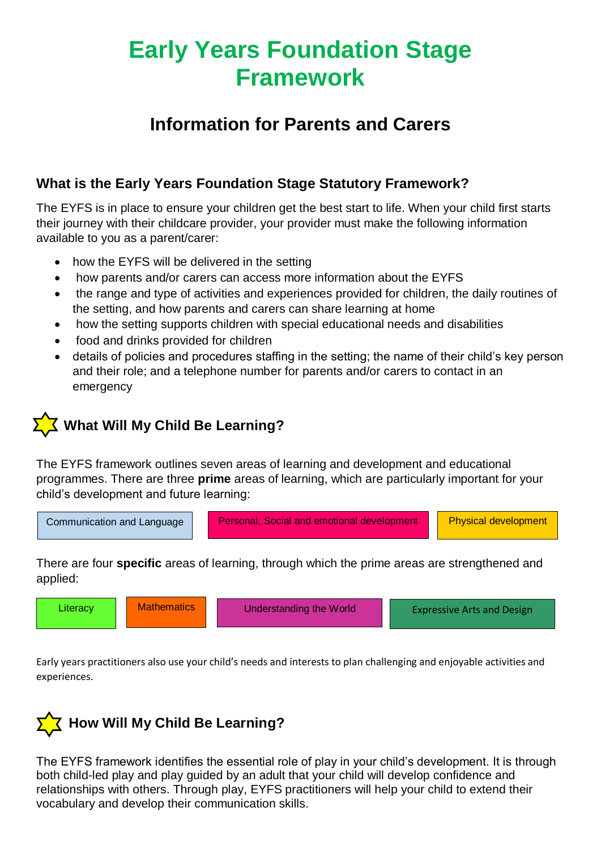## **Early Years Foundation Stage Framework**

### **Information for Parents and Carers**

#### **What is the Early Years Foundation Stage Statutory Framework?**

The EYFS is in place to ensure your children get the best start to life. When your child first starts their journey with their childcare provider, your provider must make the following information available to you as a parent/carer:

- how the EYFS will be delivered in the setting
- how parents and/or carers can access more information about the EYFS
- the range and type of activities and experiences provided for children, the daily routines of the setting, and how parents and carers can share learning at home
- how the setting supports children with special educational needs and disabilities
- food and drinks provided for children
- details of policies and procedures staffing in the setting; the name of their child's key person and their role; and a telephone number for parents and/or carers to contact in an emergency

### **XX** What Will My Child Be Learning?

The EYFS framework outlines seven areas of learning and development and educational programmes. There are three **prime** areas of learning, which are particularly important for your child's development and future learning:



There are four **specific** areas of learning, through which the prime areas are strengthened and applied:

| <b>Mathematics</b><br>Literacy<br><b>Understanding the World</b> | <b>Expressive Arts and Design</b> |
|------------------------------------------------------------------|-----------------------------------|
|------------------------------------------------------------------|-----------------------------------|

Early years practitioners also use your child's needs and interests to plan challenging and enjoyable activities and experiences.



The EYFS framework identifies the essential role of play in your child's development. It is through both child-led play and play guided by an adult that your child will develop confidence and relationships with others. Through play, EYFS practitioners will help your child to extend their vocabulary and develop their communication skills.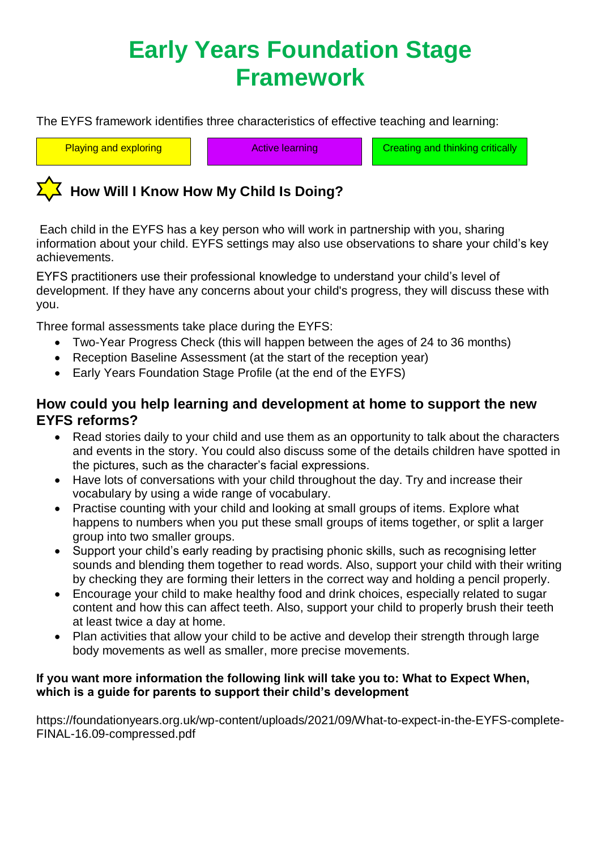# **Early Years Foundation Stage Framework**

The EYFS framework identifies three characteristics of effective teaching and learning:

Playing and exploring **Active learning Active Learning Creating and thinking critically** 

### **How Will I Know How My Child Is Doing?**

Each child in the EYFS has a key person who will work in partnership with you, sharing information about your child. EYFS settings may also use observations to share your child's key achievements.

EYFS practitioners use their professional knowledge to understand your child's level of development. If they have any concerns about your child's progress, they will discuss these with you.

Three formal assessments take place during the EYFS:

- Two-Year Progress Check (this will happen between the ages of 24 to 36 months)
- Reception Baseline Assessment (at the start of the reception year)
- Early Years Foundation Stage Profile (at the end of the EYFS)

#### **How could you help learning and development at home to support the new EYFS reforms?**

- Read stories daily to your child and use them as an opportunity to talk about the characters and events in the story. You could also discuss some of the details children have spotted in the pictures, such as the character's facial expressions.
- Have lots of conversations with your child throughout the day. Try and increase their vocabulary by using a wide range of vocabulary.
- Practise counting with your child and looking at small groups of items. Explore what happens to numbers when you put these small groups of items together, or split a larger group into two smaller groups.
- Support your child's early reading by practising phonic skills, such as recognising letter sounds and blending them together to read words. Also, support your child with their writing by checking they are forming their letters in the correct way and holding a pencil properly.
- Encourage your child to make healthy food and drink choices, especially related to sugar content and how this can affect teeth. Also, support your child to properly brush their teeth at least twice a day at home.
- Plan activities that allow your child to be active and develop their strength through large body movements as well as smaller, more precise movements.

#### **If you want more information the following link will take you to: What to Expect When, which is a guide for parents to support their child's development**

https://foundationyears.org.uk/wp-content/uploads/2021/09/What-to-expect-in-the-EYFS-complete-FINAL-16.09-compressed.pdf